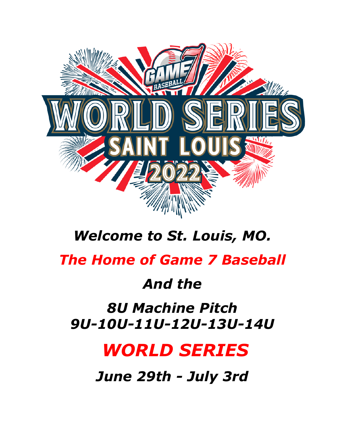

## *Welcome to St. Louis, MO.*

### *The Home of Game 7 Baseball*

### *And the*

### *8U Machine Pitch 9U-10U-11U-12U-13U-14U*

## *WORLD SERIES*

*June 29th - July 3rd*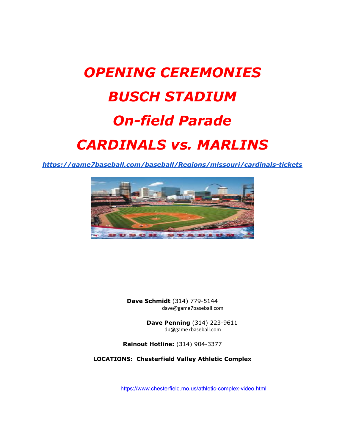# *OPENING CEREMONIES BUSCH STADIUM On-field Parade CARDINALS vs. MARLINS*

*<https://game7baseball.com/baseball/Regions/missouri/cardinals-tickets>*



**Dave Schmidt** (314) 779-5144 dave@game7baseball.com

> **Dave Penning** (314) 223-9611 dp@game7baseball.com

**Rainout Hotline:** (314) 904-3377

**LOCATIONS: Chesterfield Valley Athletic Complex**

<https://www.chesterfield.mo.us/athletic-complex-video.html>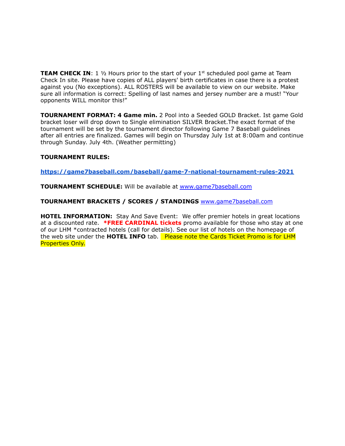**TEAM CHECK IN:** 1 1/2 Hours prior to the start of your 1<sup>st</sup> scheduled pool game at Team Check In site. Please have copies of ALL players' birth certificates in case there is a protest against you (No exceptions). ALL ROSTERS will be available to view on our website. Make sure all information is correct: Spelling of last names and jersey number are a must! "Your opponents WILL monitor this!"

**TOURNAMENT FORMAT: 4 Game min.** 2 Pool into a Seeded GOLD Bracket. Ist game Gold bracket loser will drop down to Single elimination SILVER Bracket.The exact format of the tournament will be set by the tournament director following Game 7 Baseball guidelines after all entries are finalized. Games will begin on Thursday July 1st at 8:00am and continue through Sunday. July 4th. (Weather permitting)

#### **TOURNAMENT RULES:**

**<https://game7baseball.com/baseball/game-7-national-tournament-rules-2021>**

**TOURNAMENT SCHEDULE:** Will be available at [www.game7baseball.com](http://www.game7baseball.com)

**TOURNAMENT BRACKETS / SCORES / STANDINGS** [www.game7baseball.com](http://www.game7baseball.com)

**HOTEL INFORMATION:** Stay And Save Event: We offer premier hotels in great locations at a discounted rate. **\*FREE CARDINAL tickets** promo available for those who stay at one of our LHM \*contracted hotels (call for details). See our list of hotels on the homepage of the web site under the **HOTEL INFO** tab. Please note the Cards Ticket Promo is for LHM Properties Only.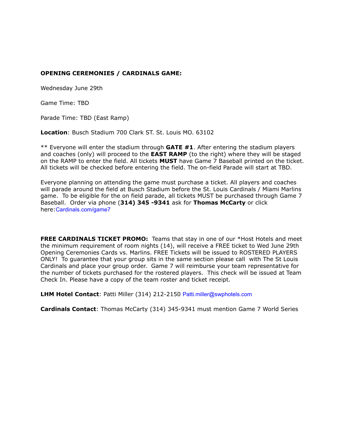#### **OPENING CEREMONIES / CARDINALS GAME:**

Wednesday June 29th

Game Time: TBD

Parade Time: TBD (East Ramp)

**Location**: Busch Stadium 700 Clark ST. St. Louis MO. 63102

\*\* Everyone will enter the stadium through **GATE #1**. After entering the stadium players and coaches (only) will proceed to the **EAST RAMP** (to the right) where they will be staged on the RAMP to enter the field. All tickets **MUST** have Game 7 Baseball printed on the ticket. All tickets will be checked before entering the field. The on-field Parade will start at TBD.

Everyone planning on attending the game must purchase a ticket. All players and coaches will parade around the field at Busch Stadium before the St. Louis Cardinals / Miami Marlins game. To be eligible for the on field parade, all tickets MUST be purchased through Game 7 Baseball. Order via phone (**314) 345 -9341** ask for **Thomas McCarty** or click here:[Cardinals.com/game7](http://cardinals.com/game7)

**FREE CARDINALS TICKET PROMO:** Teams that stay in one of our \*Host Hotels and meet the minimum requirement of room nights (14), will receive a FREE ticket to Wed June 29th Opening Ceremonies Cards vs. Marlins. FREE Tickets will be issued to ROSTERED PLAYERS ONLY! To guarantee that your group sits in the same section please call with The St Louis Cardinals and place your group order. Game 7 will reimburse your team representative for the number of tickets purchased for the rostered players. This check will be issued at Team Check In. Please have a copy of the team roster and ticket receipt.

**LHM Hotel Contact**: Patti Miller (314) 212-2150 [Patti.miller@swphotels.com](mailto:Patti.miller@swphotels.com)

**Cardinals Contact**: Thomas McCarty (314) 345-9341 must mention Game 7 World Series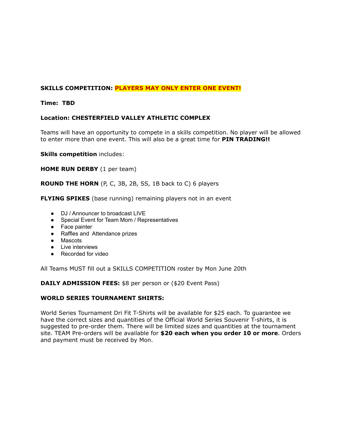#### **SKILLS COMPETITION: PLAYERS MAY ONLY ENTER ONE EVENT!**

#### **Time: TBD**

#### **Location: CHESTERFIELD VALLEY ATHLETIC COMPLEX**

Teams will have an opportunity to compete in a skills competition. No player will be allowed to enter more than one event. This will also be a great time for **PIN TRADING!!**

**Skills competition** includes:

**HOME RUN DERBY** (1 per team)

**ROUND THE HORN** (P, C, 3B, 2B, SS, 1B back to C) 6 players

**FLYING SPIKES** (base running) remaining players not in an event

- DJ / Announcer to broadcast LIVE
- Special Event for Team Mom / Representatives
- Face painter
- Raffles and Attendance prizes
- Mascots
- Live interviews
- Recorded for video

All Teams MUST fill out a SKILLS COMPETITION roster by Mon June 20th

**DAILY ADMISSION FEES:** \$8 per person or (\$20 Event Pass)

#### **WORLD SERIES TOURNAMENT SHIRTS:**

World Series Tournament Dri Fit T-Shirts will be available for \$25 each. To guarantee we have the correct sizes and quantities of the Official World Series Souvenir T-shirts, it is suggested to pre-order them. There will be limited sizes and quantities at the tournament site. TEAM Pre-orders will be available for **\$20 each when you order 10 or more**. Orders and payment must be received by Mon.